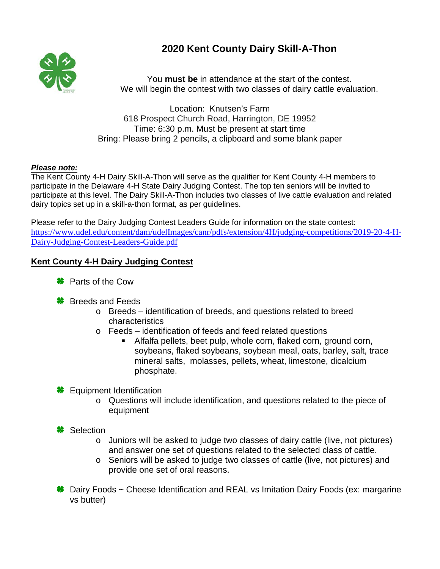## **2020 Kent County Dairy Skill-A-Thon**



You **must be** in attendance at the start of the contest. We will begin the contest with two classes of dairy cattle evaluation.

Location: Knutsen's Farm 618 Prospect Church Road, Harrington, DE 19952 Time: 6:30 p.m. Must be present at start time Bring: Please bring 2 pencils, a clipboard and some blank paper

## *Please note:*

The Kent County 4-H Dairy Skill-A-Thon will serve as the qualifier for Kent County 4-H members to participate in the Delaware 4-H State Dairy Judging Contest. The top ten seniors will be invited to participate at this level. The Dairy Skill-A-Thon includes two classes of live cattle evaluation and related dairy topics set up in a skill-a-thon format, as per guidelines.

Please refer to the Dairy Judging Contest Leaders Guide for information on the state contest: [https://www.udel.edu/content/dam/udelImages/canr/pdfs/extension/4H/judging-competitions/2019-20-4-H-](https://www.udel.edu/content/dam/udelImages/canr/pdfs/extension/4H/judging-competitions/2019-20-4-H-Dairy-Judging-Contest-Leaders-Guide.pdf)[Dairy-Judging-Contest-Leaders-Guide.pdf](https://www.udel.edu/content/dam/udelImages/canr/pdfs/extension/4H/judging-competitions/2019-20-4-H-Dairy-Judging-Contest-Leaders-Guide.pdf)

## **Kent County 4-H Dairy Judging Contest**

- **<sup>₩</sup>** Parts of the Cow
- **<sup>₩</sup>** Breeds and Feeds
	- o Breeds identification of breeds, and questions related to breed characteristics
	- o Feeds identification of feeds and feed related questions
		- Alfalfa pellets, beet pulp, whole corn, flaked corn, ground corn, soybeans, flaked soybeans, soybean meal, oats, barley, salt, trace mineral salts, molasses, pellets, wheat, limestone, dicalcium phosphate.

**<del></del>** Equipment Identification

- o Questions will include identification, and questions related to the piece of equipment
- **\*** Selection
	- o Juniors will be asked to judge two classes of dairy cattle (live, not pictures) and answer one set of questions related to the selected class of cattle.
	- o Seniors will be asked to judge two classes of cattle (live, not pictures) and provide one set of oral reasons.
- **<sup>●</sup>** Dairy Foods ~ Cheese Identification and REAL vs Imitation Dairy Foods (ex: margarine vs butter)